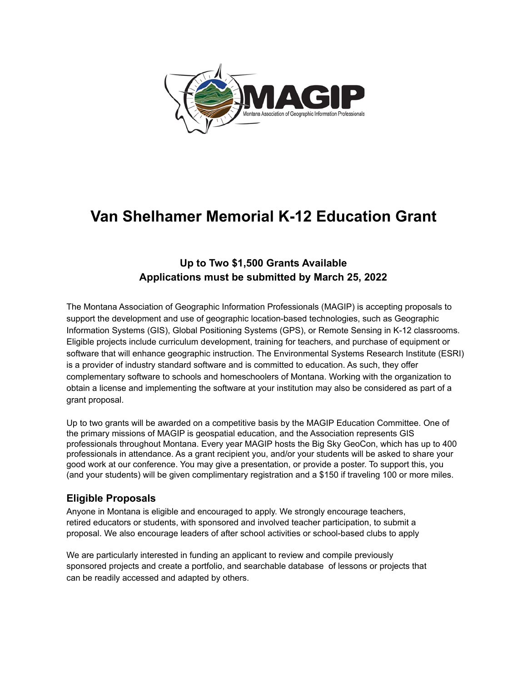

# **Van Shelhamer Memorial K-12 Education Grant**

# **Up to Two \$1,500 Grants Available Applications must be submitted by March 25, 2022**

The Montana Association of Geographic Information Professionals (MAGIP) is accepting proposals to support the development and use of geographic location-based technologies, such as Geographic Information Systems (GIS), Global Positioning Systems (GPS), or Remote Sensing in K-12 classrooms. Eligible projects include curriculum development, training for teachers, and purchase of equipment or software that will enhance geographic instruction. The Environmental Systems Research Institute (ESRI) is a provider of industry standard software and is committed to education. As such, they offer complementary software to schools and homeschoolers of Montana. Working with the organization to obtain a license and implementing the software at your institution may also be considered as part of a grant proposal.

Up to two grants will be awarded on a competitive basis by the MAGIP Education Committee. One of the primary missions of MAGIP is geospatial education, and the Association represents GIS professionals throughout Montana. Every year MAGIP hosts the Big Sky GeoCon, which has up to 400 professionals in attendance. As a grant recipient you, and/or your students will be asked to share your good work at our conference. You may give a presentation, or provide a poster. To support this, you (and your students) will be given complimentary registration and a \$150 if traveling 100 or more miles.

## **Eligible Proposals**

Anyone in Montana is eligible and encouraged to apply. We strongly encourage teachers, retired educators or students, with sponsored and involved teacher participation, to submit a proposal. We also encourage leaders of after school activities or school-based clubs to apply

We are particularly interested in funding an applicant to review and compile previously sponsored projects and create a portfolio, and searchable database of lessons or projects that can be readily accessed and adapted by others.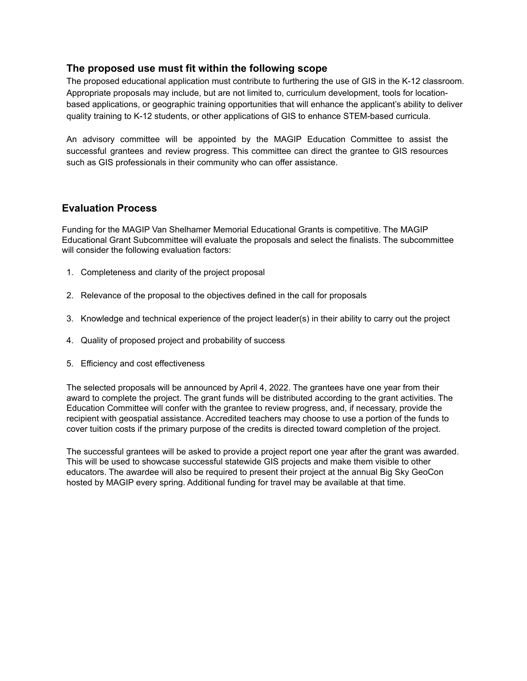#### **The proposed use must fit within the following scope**

The proposed educational application must contribute to furthering the use of GIS in the K-12 classroom. Appropriate proposals may include, but are not limited to, curriculum development, tools for locationbased applications, or geographic training opportunities that will enhance the applicant's ability to deliver quality training to K-12 students, or other applications of GIS to enhance STEM-based curricula.

An advisory committee will be appointed by the MAGIP Education Committee to assist the successful grantees and review progress. This committee can direct the grantee to GIS resources such as GIS professionals in their community who can offer assistance.

## **Evaluation Process**

Funding for the MAGIP Van Shelhamer Memorial Educational Grants is competitive. The MAGIP Educational Grant Subcommittee will evaluate the proposals and select the finalists. The subcommittee will consider the following evaluation factors:

- 1. Completeness and clarity of the project proposal
- 2. Relevance of the proposal to the objectives defined in the call for proposals
- 3. Knowledge and technical experience of the project leader(s) in their ability to carry out the project
- 4. Quality of proposed project and probability of success
- 5. Efficiency and cost effectiveness

The selected proposals will be announced by April 4, 2022. The grantees have one year from their award to complete the project. The grant funds will be distributed according to the grant activities. The Education Committee will confer with the grantee to review progress, and, if necessary, provide the recipient with geospatial assistance. Accredited teachers may choose to use a portion of the funds to cover tuition costs if the primary purpose of the credits is directed toward completion of the project.

The successful grantees will be asked to provide a project report one year after the grant was awarded. This will be used to showcase successful statewide GIS projects and make them visible to other educators. The awardee will also be required to present their project at the annual Big Sky GeoCon hosted by MAGIP every spring. Additional funding for travel may be available at that time.